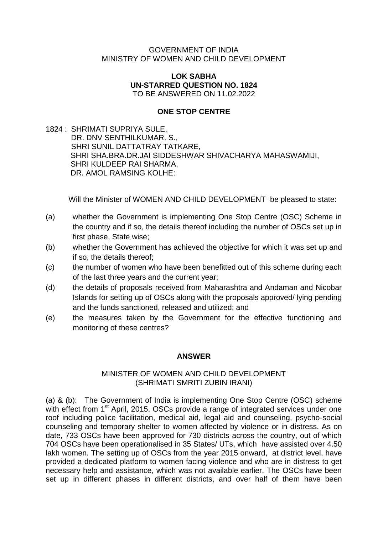#### GOVERNMENT OF INDIA MINISTRY OF WOMEN AND CHILD DEVELOPMENT

#### **LOK SABHA UN-STARRED QUESTION NO. 1824** TO BE ANSWERED ON 11.02.2022

#### **ONE STOP CENTRE**

1824 : SHRIMATI SUPRIYA SULE, DR. DNV SENTHILKUMAR, S., SHRI SUNIL DATTATRAY TATKARE, SHRI SHA.BRA.DR.JAI SIDDESHWAR SHIVACHARYA MAHASWAMIJI, SHRI KULDEEP RAI SHARMA, DR. AMOL RAMSING KOLHE:

Will the Minister of WOMEN AND CHILD DEVELOPMENT be pleased to state:

- (a) whether the Government is implementing One Stop Centre (OSC) Scheme in the country and if so, the details thereof including the number of OSCs set up in first phase, State wise;
- (b) whether the Government has achieved the objective for which it was set up and if so, the details thereof;
- (c) the number of women who have been benefitted out of this scheme during each of the last three years and the current year;
- (d) the details of proposals received from Maharashtra and Andaman and Nicobar Islands for setting up of OSCs along with the proposals approved/ lying pending and the funds sanctioned, released and utilized; and
- (e) the measures taken by the Government for the effective functioning and monitoring of these centres?

#### **ANSWER**

### MINISTER OF WOMEN AND CHILD DEVELOPMENT (SHRIMATI SMRITI ZUBIN IRANI)

(a) & (b): The Government of India is implementing One Stop Centre (OSC) scheme with effect from 1<sup>st</sup> April, 2015. OSCs provide a range of integrated services under one roof including police facilitation, medical aid, legal aid and counseling, psycho-social counseling and temporary shelter to women affected by violence or in distress. As on date, 733 OSCs have been approved for 730 districts across the country, out of which 704 OSCs have been operationalised in 35 States/ UTs, which have assisted over 4.50 lakh women. The setting up of OSCs from the year 2015 onward, at district level, have provided a dedicated platform to women facing violence and who are in distress to get necessary help and assistance, which was not available earlier. The OSCs have been set up in different phases in different districts, and over half of them have been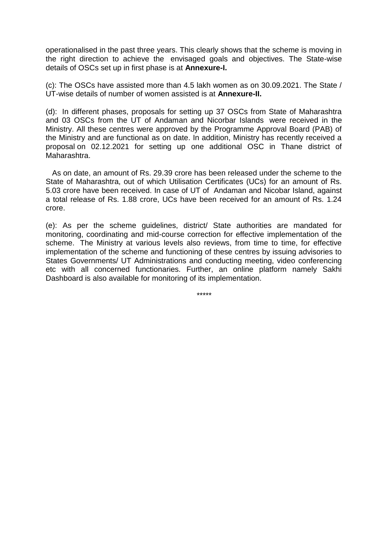operationalised in the past three years. This clearly shows that the scheme is moving in the right direction to achieve the envisaged goals and objectives. The State-wise details of OSCs set up in first phase is at **Annexure-I.** 

(c): The OSCs have assisted more than 4.5 lakh women as on 30.09.2021. The State / UT-wise details of number of women assisted is at **Annexure-II.** 

(d): In different phases, proposals for setting up 37 OSCs from State of Maharashtra and 03 OSCs from the UT of Andaman and Nicorbar Islands were received in the Ministry. All these centres were approved by the Programme Approval Board (PAB) of the Ministry and are functional as on date. In addition, Ministry has recently received a proposal on 02.12.2021 for setting up one additional OSC in Thane district of Maharashtra.

As on date, an amount of Rs. 29.39 crore has been released under the scheme to the State of Maharashtra, out of which Utilisation Certificates (UCs) for an amount of Rs. 5.03 crore have been received. In case of UT of Andaman and Nicobar Island, against a total release of Rs. 1.88 crore, UCs have been received for an amount of Rs. 1.24 crore.

(e): As per the scheme guidelines, district/ State authorities are mandated for monitoring, coordinating and mid-course correction for effective implementation of the scheme. The Ministry at various levels also reviews, from time to time, for effective implementation of the scheme and functioning of these centres by issuing advisories to States Governments/ UT Administrations and conducting meeting, video conferencing etc with all concerned functionaries. Further, an online platform namely Sakhi Dashboard is also available for monitoring of its implementation.

\*\*\*\*\*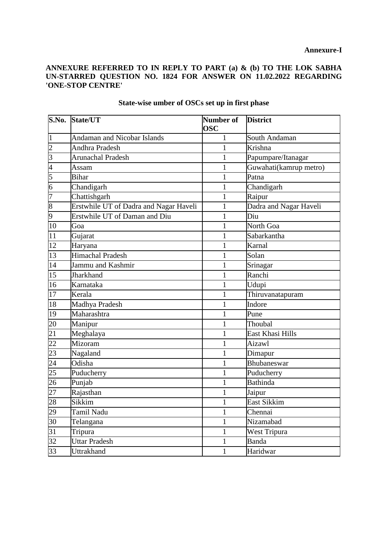### **ANNEXURE REFERRED TO IN REPLY TO PART (a) & (b) TO THE LOK SABHA**  UN-STARRED QUESTION NO. 1824 FOR ANSWER ON 11.02.2022 REGARDING **'ONE-STOP CENTRE'**

| S.No.           | State/UT                               | Number of    | <b>District</b>        |  |
|-----------------|----------------------------------------|--------------|------------------------|--|
|                 |                                        | <b>OSC</b>   |                        |  |
| $\overline{1}$  | <b>Andaman and Nicobar Islands</b>     | 1            | South Andaman          |  |
| $\overline{c}$  | <b>Andhra Pradesh</b>                  | $\mathbf{1}$ | Krishna                |  |
| $\overline{3}$  | <b>Arunachal Pradesh</b>               | 1            | Papumpare/Itanagar     |  |
| $\overline{4}$  | Assam                                  | $\mathbf{1}$ | Guwahati(kamrup metro) |  |
| 5               | <b>Bihar</b>                           | $\mathbf{1}$ | Patna                  |  |
| 6               | Chandigarh                             | $\mathbf{1}$ | Chandigarh             |  |
| 7               | Chattishgarh                           | 1            | Raipur                 |  |
| 8               | Erstwhile UT of Dadra and Nagar Haveli | 1            | Dadra and Nagar Haveli |  |
| 9               | Erstwhile UT of Daman and Diu          | $\mathbf{1}$ | Diu                    |  |
| 10              | Goa                                    | 1            | North Goa              |  |
| 11              | Gujarat                                | $\mathbf{1}$ | Sabarkantha            |  |
| 12              | Haryana                                | 1            | Karnal                 |  |
| 13              | <b>Himachal Pradesh</b>                | $\mathbf{1}$ | Solan                  |  |
| 14              | Jammu and Kashmir                      | 1            | Srinagar               |  |
| 15              | Jharkhand                              | 1            | Ranchi                 |  |
| 16              | Karnataka                              | $\mathbf{1}$ | Udupi                  |  |
| 17              | Kerala                                 | 1            | Thiruvanatapuram       |  |
| 18              | Madhya Pradesh                         | $\mathbf{1}$ | Indore                 |  |
| 19              | Maharashtra                            | $\mathbf{1}$ | Pune                   |  |
| 20              | Manipur                                | $\mathbf{1}$ | Thoubal                |  |
| 21              | Meghalaya                              | 1            | East Khasi Hills       |  |
| 22              | Mizoram                                | 1            | Aizawl                 |  |
| 23              | Nagaland                               | $\mathbf{1}$ | Dimapur                |  |
| 24              | Odisha                                 | 1            | Bhubaneswar            |  |
| 25              | Puducherry                             | $\mathbf{1}$ | Puducherry             |  |
| 26              | Punjab                                 | $\mathbf{1}$ | <b>Bathinda</b>        |  |
| 27              | Rajasthan                              | 1            | Jaipur                 |  |
| 28              | Sikkim                                 | T            | East Sikkim            |  |
| 29              | Tamil Nadu                             | $\mathbf{1}$ | Chennai                |  |
| $\overline{30}$ | Telangana                              | 1            | Nizamabad              |  |
| $\overline{31}$ | Tripura                                | $\mathbf{1}$ | West Tripura           |  |
| $\overline{32}$ | <b>Uttar Pradesh</b>                   | $\mathbf{1}$ | <b>Banda</b>           |  |
| 33              | Uttrakhand                             | $\mathbf{1}$ | Haridwar               |  |

## **State-wise umber of OSCs set up in first phase**